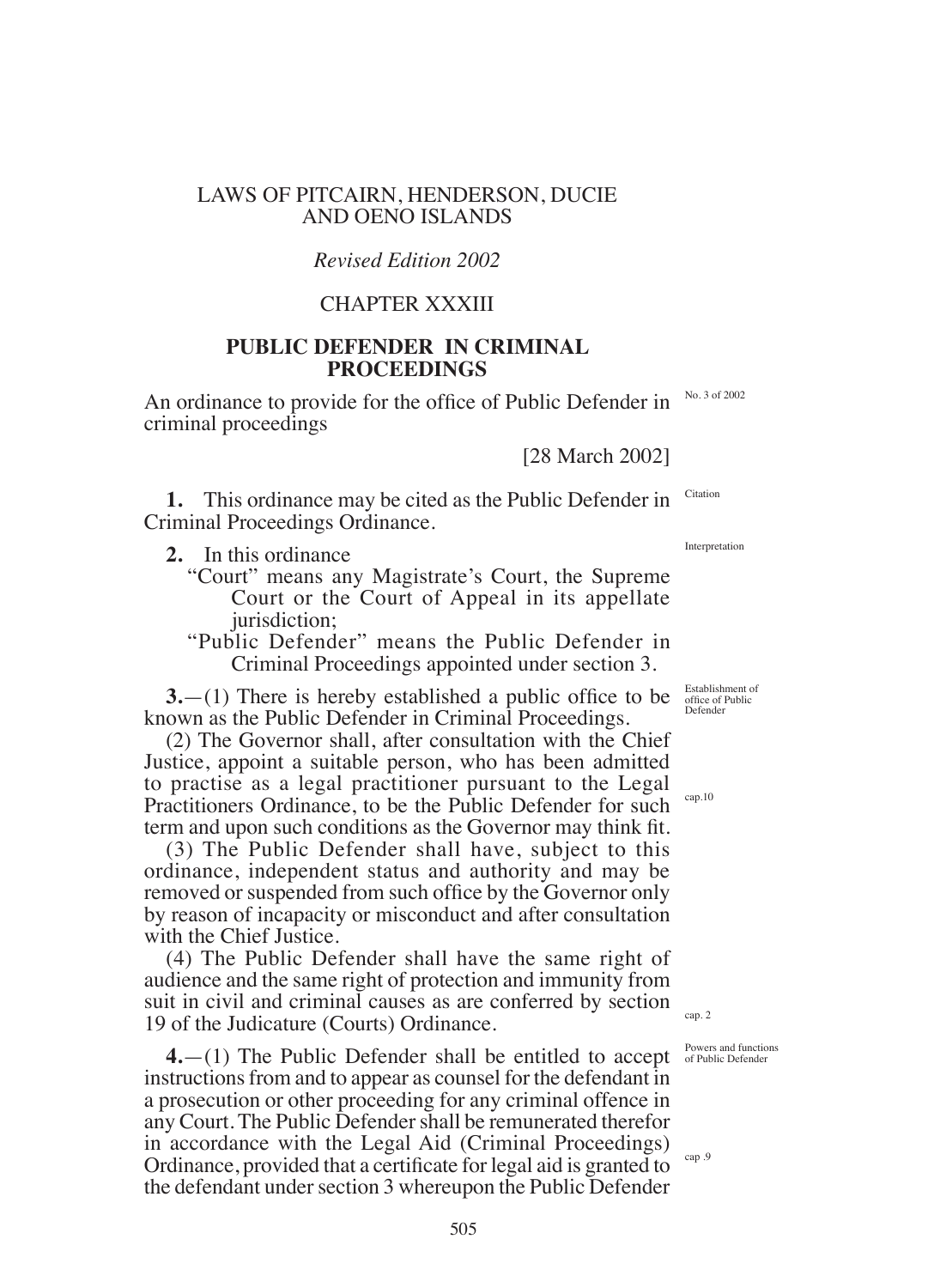## LAWS OF PITCAIRN, HENDERSON, DUCIE AND OENO ISLANDS

## *Revised Edition 2002*

## CHAPTER XXXIII

## **PUbLIC DEFENDER IN CRIMINAL PROCEEDINgS**

An ordinance to provide for the ofice of Public Defender in criminal proceedings

[28 March 2002]

**1.** This ordinance may be cited as the Public Defender in Criminal Proceedings Ordinance. Citation

**2.** In this ordinance

"Court" means any Magistrate's Court, the Supreme Court or the Court of Appeal in its appellate jurisdiction;

"Public Defender" means the Public Defender in Criminal Proceedings appointed under section 3.

**3.**—(1) There is hereby established a public office to be known as the Public Defender in Criminal Proceedings.

(2) The Governor shall, after consultation with the Chief Justice, appoint a suitable person, who has been admitted to practise as a legal practitioner pursuant to the Legal Practitioners Ordinance, to be the Public Defender for such term and upon such conditions as the Governor may think fit.

(3) The Public Defender shall have, subject to this ordinance, independent status and authority and may be removed or suspended from such ofice by the Governor only by reason of incapacity or misconduct and after consultation with the Chief Justice.

(4) The Public Defender shall have the same right of audience and the same right of protection and immunity from suit in civil and criminal causes as are conferred by section 19 of the Judicature (Courts) Ordinance.

**4.**—(1) The Public Defender shall be entitled to accept instructions from and to appear as counsel for the defendant in a prosecution or other proceeding for any criminal offence in any Court. The Public Defender shall be remunerated therefor in accordance with the Legal Aid (Criminal Proceedings) Ordinance, provided that a certiicate for legal aid is granted to the defendant under section 3 whereupon the Public Defender

Establishment of ofice of Public Defender

cap.10

cap. 2

cap .9

Powers and functions of Public Defender

No. 3 of 2002

Interpretation